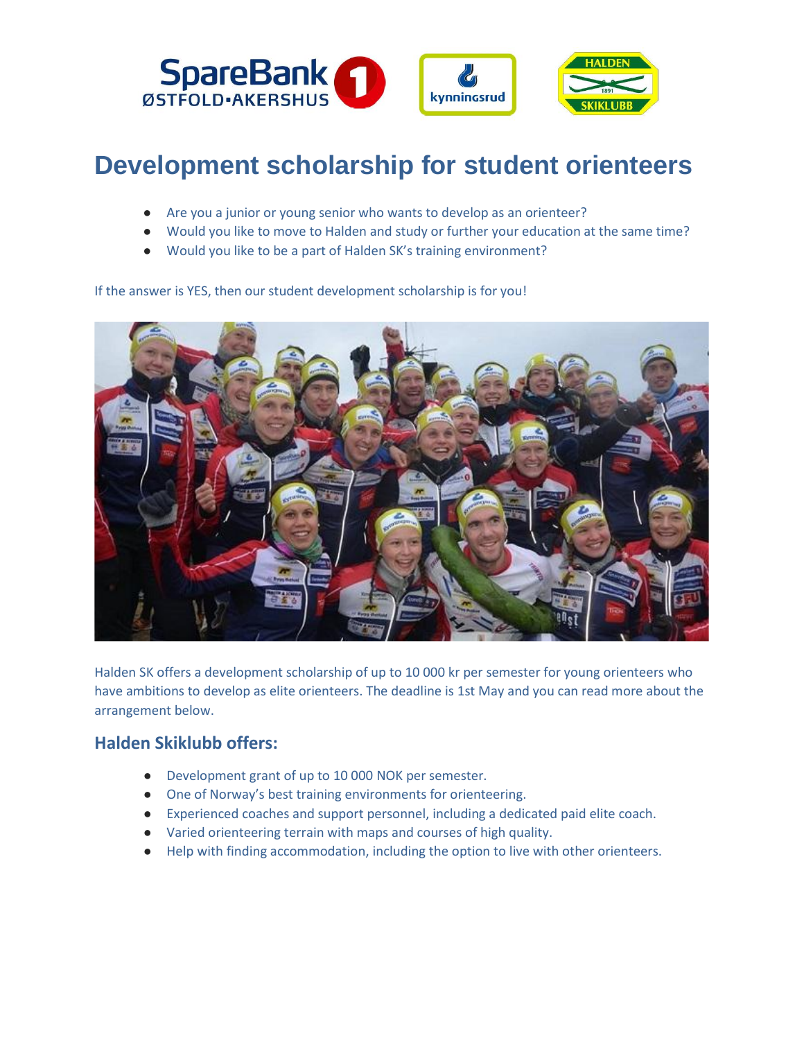

# **Development scholarship [for student orie](https://haldensk.no/grupper/elite/nyheter-world-of-o/3297-utviklingsstipend-for-orienteringslopere)nteers**

- Are you a junior or young senior who wants to develop as an orienteer?
- Would you like to move to Halden and study or further your education at the same time?
- Would you like to be a part of Halden SK's training environment?

If the answer is YES, then our student development scholarship is for you!



Halden SK offers a development scholarship of up to 10 000 kr per semester for young orienteers who have ambitions to develop as elite orienteers. The deadline is 1st May and you can read more about the arrangement below.

#### **Halden Skiklubb offers:**

- Development grant of up to 10 000 NOK per semester.
- One of Norway's best training environments for orienteering.
- Experienced coaches and support personnel, including a dedicated paid elite coach.
- Varied orienteering terrain with maps and courses of high quality.
- Help with finding accommodation, including the option to live with other orienteers.